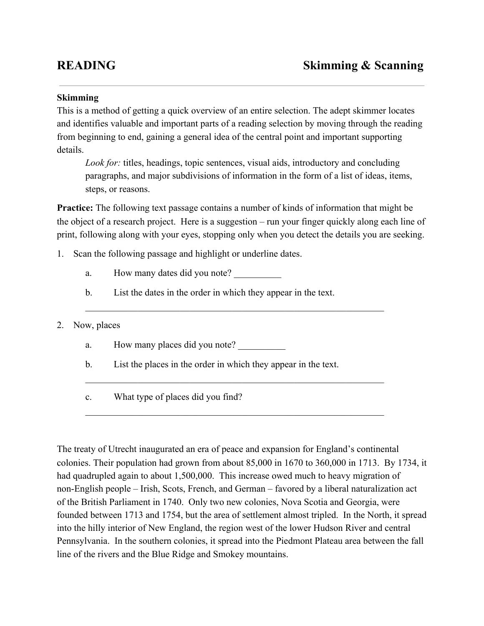## **Skimming**

This is a method of getting a quick overview of an entire selection. The adept skimmer locates and identifies valuable and important parts of a reading selection by moving through the reading from beginning to end, gaining a general idea of the central point and important supporting details.

*Look for:* titles, headings, topic sentences, visual aids, introductory and concluding paragraphs, and major subdivisions of information in the form of a list of ideas, items, steps, or reasons.

**Practice:** The following text passage contains a number of kinds of information that might be the object of a research project. Here is a suggestion – run your finger quickly along each line of print, following along with your eyes, stopping only when you detect the details you are seeking.

 $\mathcal{L}_\text{max}$  , and the contribution of the contribution of the contribution of the contribution of the contribution of the contribution of the contribution of the contribution of the contribution of the contribution of t

 $\mathcal{L}_\text{max}$  , and the contribution of the contribution of the contribution of the contribution of the contribution of the contribution of the contribution of the contribution of the contribution of the contribution of t

 $\mathcal{L}_\text{max}$  , and the contribution of the contribution of the contribution of the contribution of the contribution of the contribution of the contribution of the contribution of the contribution of the contribution of t

- 1. Scan the following passage and highlight or underline dates.
	- a. How many dates did you note?
	- b. List the dates in the order in which they appear in the text.

## 2. Now, places

- a. How many places did you note?
- b. List the places in the order in which they appear in the text.
- c. What type of places did you find?

The treaty of Utrecht inaugurated an era of peace and expansion for England's continental colonies. Their population had grown from about 85,000 in 1670 to 360,000 in 1713. By 1734, it had quadrupled again to about 1,500,000. This increase owed much to heavy migration of nonEnglish people – Irish, Scots, French, and German – favored by a liberal naturalization act of the British Parliament in 1740. Only two new colonies, Nova Scotia and Georgia, were founded between 1713 and 1754, but the area of settlement almost tripled. In the North, it spread into the hilly interior of New England, the region west of the lower Hudson River and central Pennsylvania. In the southern colonies, it spread into the Piedmont Plateau area between the fall line of the rivers and the Blue Ridge and Smokey mountains.